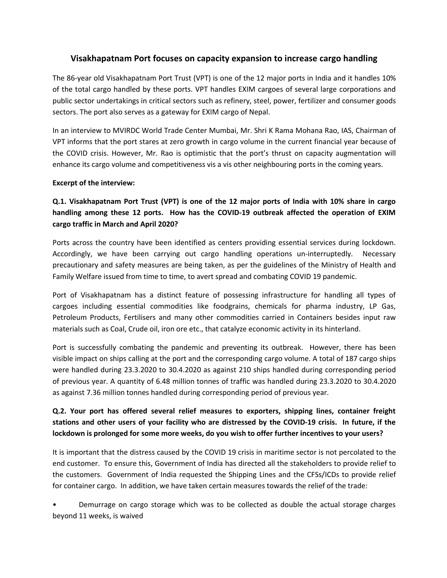## **Visakhapatnam Port focuses on capacity expansion to increase cargo handling**

The 86-year old Visakhapatnam Port Trust (VPT) is one of the 12 major ports in India and it handles 10% of the total cargo handled by these ports. VPT handles EXIM cargoes of several large corporations and public sector undertakings in critical sectors such as refinery, steel, power, fertilizer and consumer goods sectors. The port also serves as a gateway for EXIM cargo of Nepal.

In an interview to MVIRDC World Trade Center Mumbai, Mr. Shri K Rama Mohana Rao, IAS, Chairman of VPT informs that the port stares at zero growth in cargo volume in the current financial year because of the COVID crisis. However, Mr. Rao is optimistic that the port's thrust on capacity augmentation will enhance its cargo volume and competitiveness vis a vis other neighbouring ports in the coming years.

#### **Excerpt of the interview:**

# **Q.1. Visakhapatnam Port Trust (VPT) is one of the 12 majorports of India with 10% share in cargo handling among these 12 ports. How has the COVID-19 outbreak affected the operation of EXIM cargo traffic in March and April 2020?**

Ports across the country have been identified as centers providing essential services during lockdown. Accordingly, we have been carrying out cargo handling operations un-interruptedly. Necessary precautionary and safety measures are being taken, as per the guidelines of the Ministry of Health and Family Welfare issued from time to time, to avert spread and combating COVID 19 pandemic.

Port of Visakhapatnam has a distinct feature of possessing infrastructure for handling all types of cargoes including essential commodities like foodgrains, chemicals for pharma industry, LP Gas, Petroleum Products, Fertilisers and many other commodities carried in Containers besides input raw materials such as Coal, Crude oil, iron ore etc., that catalyze economic activity in its hinterland.

Port is successfully combating the pandemic and preventing its outbreak. However, there has been visible impact on ships calling at the port and the corresponding cargo volume. A total of 187 cargo ships were handled during 23.3.2020 to 30.4.2020 as against 210 ships handled during corresponding period of previous year. A quantity of 6.48 million tonnes of traffic was handled during 23.3.2020 to 30.4.2020 as against 7.36 million tonnes handled during corresponding period of previous year.

## **Q.2. Your port has offered several relief measures to exporters, shipping lines, container freight** stations and other users of your facility who are distressed by the COVID-19 crisis. In future, if the **lockdown is prolonged for some more weeks, do you wish to offer further incentives to your users?**

It is important that the distress caused by the COVID 19 crisisin maritime sector is not percolated to the end customer. To ensure this, Government of India has directed all the stakeholders to provide relief to the customers. Government of India requested the Shipping Lines and the CFSs/ICDs to provide relief for container cargo. In addition, we have taken certain measures towards the relief of the trade:

• Demurrage on cargo storage which was to be collected as double the actual storage charges beyond 11 weeks, is waived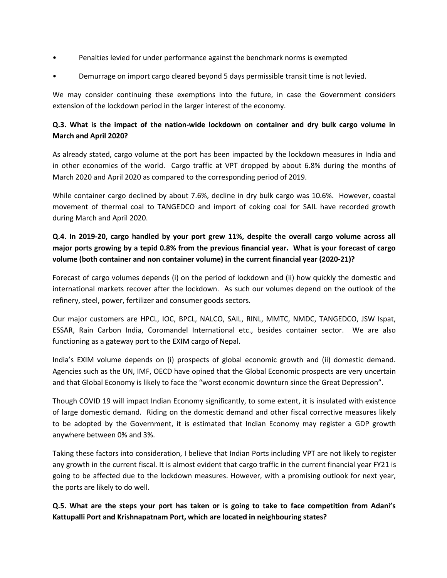- Penalties levied for under performance against the benchmark norms is exempted
- Demurrage on import cargo cleared beyond 5 days permissible transit time is not levied.

We may consider continuing these exemptions into the future, in case the Government considers extension of the lockdown period in the larger interest of the economy.

## **Q.3. What is the impact of the nation-wide lockdown on container and dry bulk cargo volume in March and April 2020?**

As already stated, cargo volume at the port has been impacted by the lockdown measures in India and in other economies of the world. Cargo traffic at VPT dropped by about 6.8% during the months of March 2020 and April 2020 as compared to the corresponding period of 2019.

While container cargo declined by about 7.6%, decline in dry bulk cargo was 10.6%. However, coastal movement of thermal coal to TANGEDCO and import of coking coal for SAIL have recorded growth during March and April 2020.

# **Q.4. In 2019-20, cargo handled by your port grew 11%, despite the overall cargo volume across all** major ports growing by a tepid 0.8% from the previous financial year. What is your forecast of cargo **volume (both container and non container volume) in the current financial year (2020-21)?**

Forecast of cargo volumes depends (i) on the period of lockdown and (ii) how quickly the domestic and international markets recover after the lockdown. As such our volumes depend on the outlook of the refinery, steel, power, fertilizer and consumer goods sectors.

Our major customers are HPCL, IOC, BPCL, NALCO, SAIL, RINL, MMTC, NMDC, TANGEDCO, JSW Ispat, ESSAR, Rain Carbon India, Coromandel International etc., besides container sector. We are also functioning as a gateway port to the EXIM cargo of Nepal.

India's EXIM volume depends on (i) prospects of global economic growth and (ii) domestic demand. Agencies such as the UN, IMF, OECD have opined that the Global Economic prospects are very uncertain and that Global Economy is likely to face the "worst economic downturn since the Great Depression".

Though COVID 19 will impact Indian Economy significantly, to some extent, it is insulated with existence of large domestic demand. Riding on the domestic demand and other fiscal corrective measures likely to be adopted by the Government, it is estimated that Indian Economy may register a GDP growth anywhere between 0% and 3%.

Taking these factors into consideration, I believe that Indian Ports including VPT are not likely to register any growth in the current fiscal. It is almost evident that cargo traffic in the current financial year FY21 is going to be affected due to the lockdown measures. However, with a promising outlook for next year, the ports are likely to do well.

Q.5. What are the steps your port has taken or is going to take to face competition from Adani's **Kattupalli Port and Krishnapatnam Port, which are located in neighbouring states?**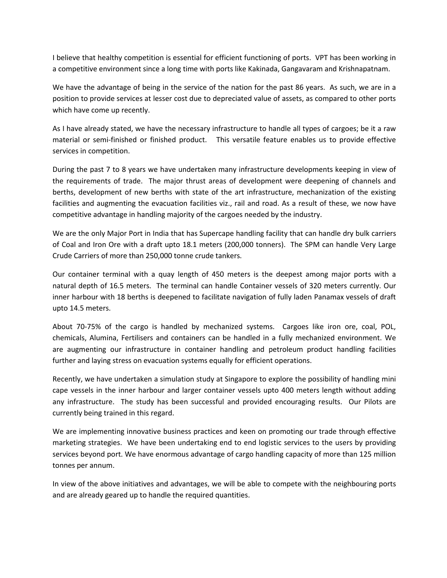I believe that healthy competition is essential for efficient functioning of ports. VPT has been working in a competitive environment since a long time with ports like Kakinada, Gangavaram and Krishnapatnam.

We have the advantage of being in the service of the nation for the past 86 years. As such, we are in a position to provide services at lesser cost due to depreciated value of assets, as compared to other ports which have come up recently.

As I have already stated, we have the necessary infrastructure to handle all types of cargoes; be it a raw material or semi-finished or finished product. This versatile feature enables us to provide effective services in competition.

During the past 7 to 8 years we have undertaken many infrastructure developments keeping in view of the requirements of trade. The major thrust areas of development were deepening of channels and berths, development of new berths with state of the art infrastructure, mechanization of the existing facilities and augmenting the evacuation facilities viz., rail and road. As a result of these, we now have competitive advantage in handling majority of the cargoes needed by the industry.

We are the only Major Port in India that has Supercape handling facility that can handle dry bulk carriers of Coal and Iron Ore with a draft upto 18.1 meters (200,000 tonners). The SPM can handle Very Large Crude Carriers of more than 250,000 tonne crude tankers.

Our container terminal with a quay length of 450 meters is the deepest among major ports with a natural depth of 16.5 meters. The terminal can handle Container vessels of 320 meters currently. Our inner harbour with 18 berths is deepened to facilitate navigation of fully laden Panamax vessels of draft upto 14.5 meters.

About 70-75% of the cargo is handled by mechanized systems. Cargoes like iron ore, coal, POL, chemicals, Alumina, Fertilisers and containers can be handled in a fully mechanized environment. We are augmenting our infrastructure in container handling and petroleum product handling facilities further and laying stress on evacuation systems equally for efficient operations.

Recently, we have undertaken a simulation study at Singapore to explore the possibility of handling mini cape vessels in the inner harbour and larger container vessels upto 400 meters length without adding any infrastructure. The study has been successful and provided encouraging results. Our Pilots are currently being trained in this regard.

We are implementing innovative business practices and keen on promoting our trade through effective marketing strategies. We have been undertaking end to end logistic services to the users by providing services beyond port. We have enormous advantage of cargo handling capacity of more than 125 million tonnes per annum.

In view of the above initiatives and advantages, we will be able to compete with the neighbouring ports and are already geared up to handle the required quantities.